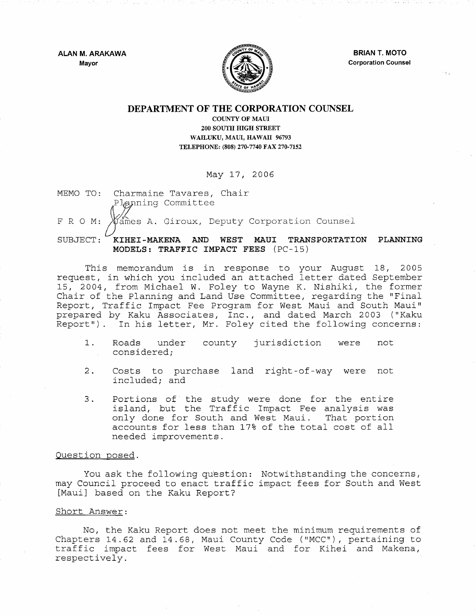ALAN M. ARAKAWA Mayor



**BRIAN T. MOTO** Corporation Counsel

# DEPARTMENT OF THE CORPORATION COUNSEL

COUNTY OF MAUI 200 SOUTH HIGH STREET WAILUKU, MAUl, HAWAII 96793 TELEPHONE: (808) 270~7740 FAX 270·7152

May 17, 2006

MEMO TO: Charmaine Tavares, Chair Planning Committee

FRO M:

Tames A. Giroux, Deputy Corporation Counsel

SUBJECT:

KIHEI-MAKENA AND WEST MAUl TRANSPORTATION PLANNING MODELS: TRAFFIC IMPACT FEES (PC-1S)

This memorandum is in response to your August 18, 2005 request, in which you included an attached letter dated September 15, 2004, from Michael W. Foley to Wayne K. Nishiki, the former Chair of the Planning and Land Use Committee, regarding the "Final Report, Traffic Impact Fee Program for West Maui and South Maui" prepared by Kaku Associates, Inc., and dated March 2003 ("Kaku prepared by nana Abboeraces, The., and dated March 2009 (nana<br>Report"). In his letter, Mr. Foley cited the following concerns:

- 1. Roads under county jurisdiction were not considered;
- 2. Costs to purchase land right-of-way were not included; and
- 3 . Portions of the study were done for the entire island, but the Traffic Impact Fee analysis was only done for South and West Maui. That portion accounts for less than 17% of the total cost of all needed improvements.

## Question posed.

You ask the following question: Notwithstanding the concerns, may Council proceed to enact traffic impact fees for South and West [Maui] based on the Kaku Report?

## Short Answer:

No, the Kaku Report does not meet the minimum requirements of Chapters 14.62 and  $14.68$ , Maui County Code ("MCC"), pertaining to traffic impact fees for West Maui and for Kihei and Makena, respectively.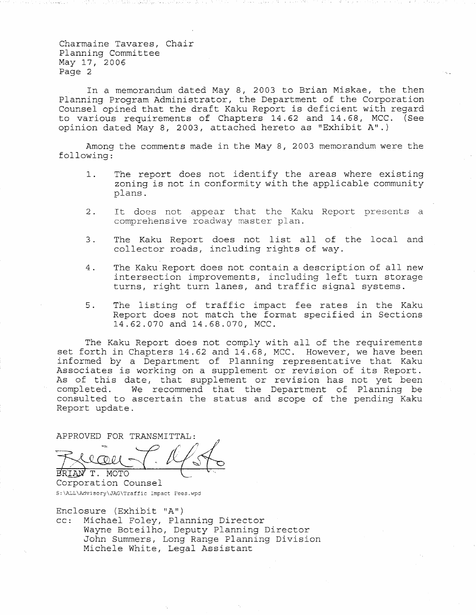Charmaine Tavares, Chair Planning Committee May 17, 2006 Page 2

In a memorandum dated May 8, 2003 to Brian Miskae, the then Planning Program Administrator, the Department of the Corporation Counsel opined that the draft Kaku Report is deficient with regard to various requirements of Chapters 14.62 and 14.68, MCC. (See opinion dated May 8, 2003, attached hereto as "Exhibit A".)

Among the comments made in the May 8, 2003 memorandum were the following:

- 1. The report does not identify the areas where existing zoning is not in conformity with the applicable community plans.
- 2. It does not appear that the Kaku Report presents a comprehensive roadway master plan.
- 3 . The Kaku Report does not list all of the local and collector roads, including rights of way.
- 4. The Kaku Report does not contain a description of all new intersection improvements, including left turn storage turns, right turn lanes, and traffic signal systems.
- 5. The listing of traffic impact fee rates in the Kaku Report does not match the format specified in Sections 14.62.070 and 14.68.070, MCC.

The Kaku Report does not comply with all of the requirements set forth in Chapters 14.62 and 14.68, MCC. However, we have been informed by a Department of Planning representative that Kaku Associates is working on a supplement or revision of its Report. As of this date, that supplement or revision has not yet been<br>completed. We recommend that the Department of Planning be We recommend that the Department of Planning be consulted to ascertain the status and scope of the pending Kaku Report update.

APPROVED FOR TRANSMITTAL:

BRIAN T. MOTO

Corporation Counsel S:\ALL\Advisory\JAG\Traffic Impact Fees.wpd

Enclosure (Exhibit "A") cc: Michael Foley, Planning Director Wayne Boteilho, Deputy Planning Director John Summers, Long Range Planning Division Michele White, Legal Assistant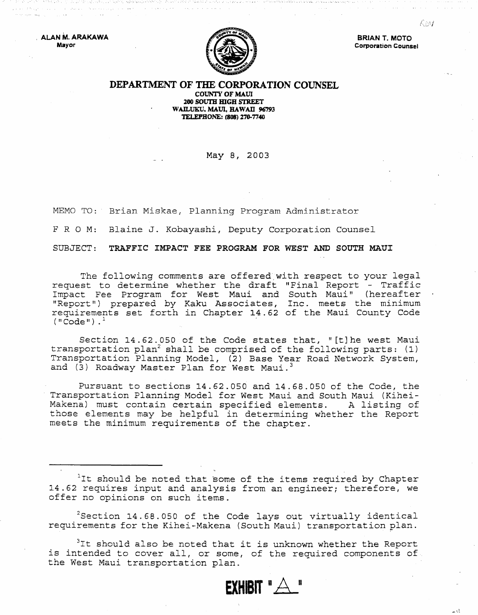, **ALAN M. ARAKAWA Mayor** 



**BRIAN T. MOTO Corporation Counsel** 

#### **DEPARTMENT OF THE CORPORATION COUNSEL COUNTY OF MAUl 100 soum mGH STREET**  WAILUKU, MAUI. HAWAII 96793 **1ELEPBONE: (808) 270-7740**

### May 8, 2003

MEMO TO: Brian Miskae, Planning Program Administrator

FRO M: Blaine J. Kobayashi, Deputy Corporation Counsel

SUBJECT: **TRAFFIC IMPACT FEE PROGRAM FOR WEST AND SOUTH MAUl** 

The following comments are offered with respect to your legal request to determine whether the draft "Final Report - Traffic Impact Fee Program for West Maui and South Maui" (hereafter "Report") prepared by Kaku Associates, Inc. meets the minimum requirements set forth in Chapter 14.62 of the Maui County Code (" $\tilde{\text{Code}}$ "). $\frac{1}{2}$ 

Section 14.62.050 of the Code states that, "[t]he west Maui transportation plan<sup>2</sup> shall be comprised of the following parts:  $(1)$ Transportation Planning Model, (2) Base Year Road Network System, and (3) Roadway Master Plan for West Maui.<sup>3</sup>

Pursuant to sections 14.62.050 and 14.68.050 of the Code, the Transportation Planning Model for West Maui and South Maui (Kihei-Makena) must contain certain specified elements. those elements may be helpful in determining whether the Report meets the minimum requirements of the chapter.

<sup>1</sup>It should be noted that some of the items required by Chapter 14.62 requires input and analysis from an engineer; therefore, we offer no opinions on such items.

 $2$ Section 14.68.050 of the Code lays out virtually identical requirements for the Kihei-Makena (South Maui) transportation plan.

<sup>3</sup>It should also be noted that it is unknown whether the Report is intended to cover all, or some, of the required components of the West Maui transportation plan.

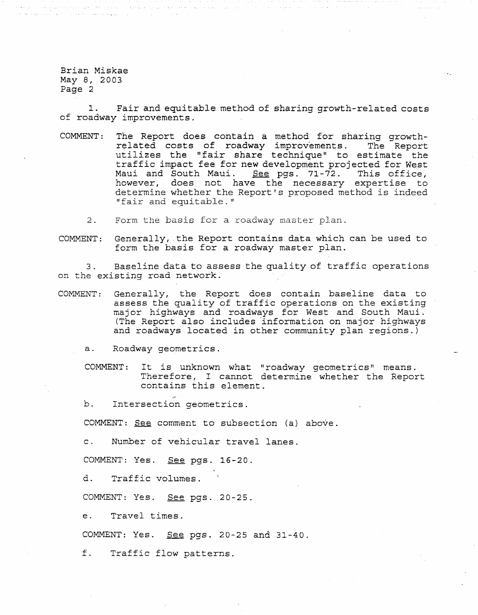Brian Miskae May 8, 2003 Page 2

1. Fair and equitable method of sharing growth-related costs of roadway improvements.

- COMMENT: The Report does contain a method for sharing growthrelated costs of roadway improvements. The Report utilizes the "fair share technique" to estimate the traffic impact fee for new development projected for West<br>Maui and South Maui. See pgs. 71-72. This office, Maui and South Maui. See pgs.  $71-72$ . however, does not have the necessary expertise to determine whether the Report's proposed method is indeed "fair and equitable."
	- 2. Form the basis for a roadway master plan.

COMMENT: Generally, the Report contains data which can be used to form the basis for a roadway master plan.

3. Baseline data to assess the quality of traffic operations on the existing road network.

COMMENT: Generally, the Report does contain baseline data to assess the quality of traffic operations on the existing major highways and roadways for West and South Maui. (The Report also includes 'information on major highways and roadways located in other community plan regions.)

a. Roadway geometrics.

COMMENT: It is unknown what "roadway geometries" means. Therefore, I cannot determine whether the Report contains this element.

b. Intersection geometries.

COMMENT: See comment to subsection (a) above.

e. Number of vehicular travel lanes.

COMMENT: Yes. See pgs. 16-20.

d. Traffic volumes.

COMMENT: Yes. See pgs. 20-25.

e. Travel times.

COMMENT: Yes. See pgs. 20-25 and 31-40.

f. Traffic flow patterns.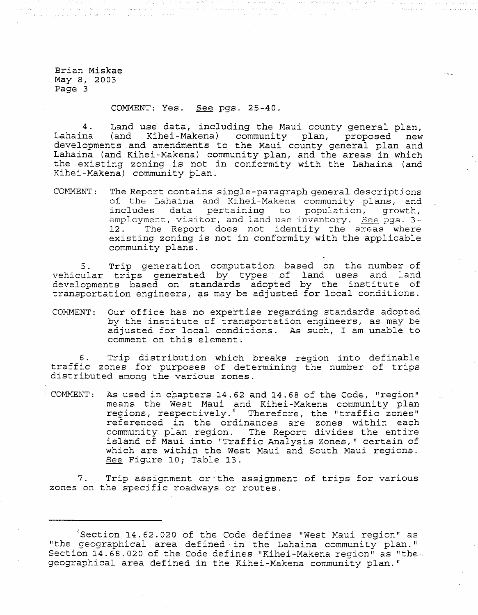Brian Miskae May 8, 2003 Page 3

## COMMENT: Yes. See pgs. 25-40.

4. Land use data, including the Maui county general plan,<br>Lahaina (and Kihei-Makena) community plan, proposed new (and Kihei-Makena) community plan, proposed new developments and amendments to the Maui county general plan and Lahaina (and Kihei-Makena) community plan, and the areas in which the existing zoning is not in conformity with the Lahaina (and Kihei-Makena) community plan.

COMMENT: The Report contains single-paragraph general descriptions of the Lahaina and Kihei-Makena community plans, and<br>includes data pertaining to population, growth, includes data pertaining to population, employment, visitor, and land use inventory. See pgs. 3-<br>12. The Report does not identify the areas where The Report does not identify the areas where existing zoning is not in conformity with the applicable community plans.

5. Trip generation computation based on. the number of vehicular trips generated by types of land uses and land developments based on standards adopted by the institute of transportation engineers, as may be adjusted for local conditions.

COMMENT: Our office has no expertise regarding standards adopted by the institute of transportation engineers, as may be adjusted for local conditions. As such, I am unable to comment on this element'.

6. Trip distribution which breaks region into definable traffic zones for purposes of determining the number of trips distributed among the various zones.

COMMENT: As used in chapters 14.62 and 14.68 of the Code, "region" means the West Maui and Kihei-Makena community plan regions, respectively.<sup>4</sup> Therefore, the "traffic zones" referenced in the ordinances are zones within each community plan region. The Report divides the entire island of Maui into "Traffic Analysis Zones," certain of which are within the West Maui and South Maui regions. See Figure 10; Table 13.

7. Trip assignment or the assignment of trips for various zones on the specific roadways or routes.

<sup>4</sup>Section 14.62.020 of the Code defines IIWest Maui region" as "the geographical area defined in the Lahaina community plan." Section 14.68.020 of the Code defines "Kihei-Makena region" as "the geographical area defined in the Kihei-Makena community plan."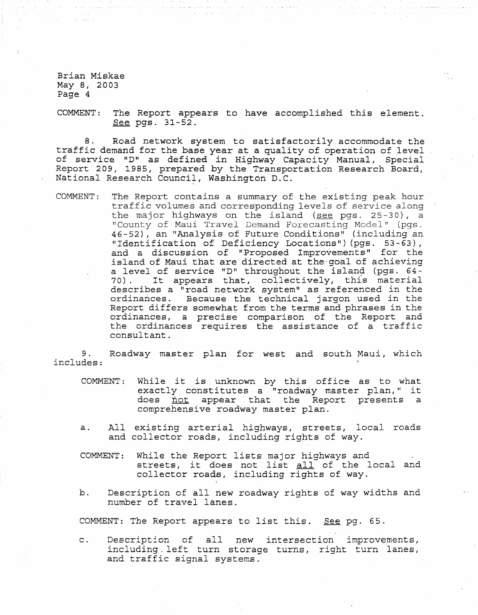Brian Miskae May 8, 2003 Page 4

COMMENT: The Report appears to have accomplished this element. See pgs. 31-52.

8. Road network system to satisfactorily accommodate the traffic demand for the base year at a quality of operation of level of service "D" as defined in Highway Capacity Manual, Special Report 209, 1985, prepared by the Transportation Research Board, National Research Council, Washington D.C.

COMMENT: The Report contains a summary of the existing peak hour traffic volumes and corresponding levels of service along the major highways on the island (see pgs.  $25-30$ ), a "County of Maui Travel Demand Forecasting Model" (pgs. 46-52), an "Analysis of Future Conditions" (including an "Identification of Deficiency Locations") (pgs. 53-63), and a discussion of "Proposed Improvements" for the island of Maui that are directed at the goal of achieving a level of service "D" throughout the island (pgs. 64-<br>70). It appears that, collectively, this material It appears that, collectively, this material describes a  $\overline{r}$  road network system" as referenced in the ordinances. Because the technical jargon used in the Report differs somewhat from the terms and phrases in the ordinances, a precise comparison of the Report and the ordinances requires the assistance of a traffic consultant.

9. Roadway master plan for west and south Maui, which includes:

- COMMENT: While it is unknown by this office as to what exactly constitutes a "roadway master plan," it does not appear that the Report presents a comprehensive roadway master plan.
- a. All existing arterial highways, streets, local roads and collector roads, including rights of way.
- COMMENT: While the Report lists major highways and streets, it does not list all of the local and collector roads, including rights of way.
- b. Description of all new roadway rights of way widths and number of travel lanes.

COMMENT: The Report appears to list this. See pg. 65.

c. Description of all new intersection improvements, including. left turn storage turns, right turn lanes, and traffic signal systems.